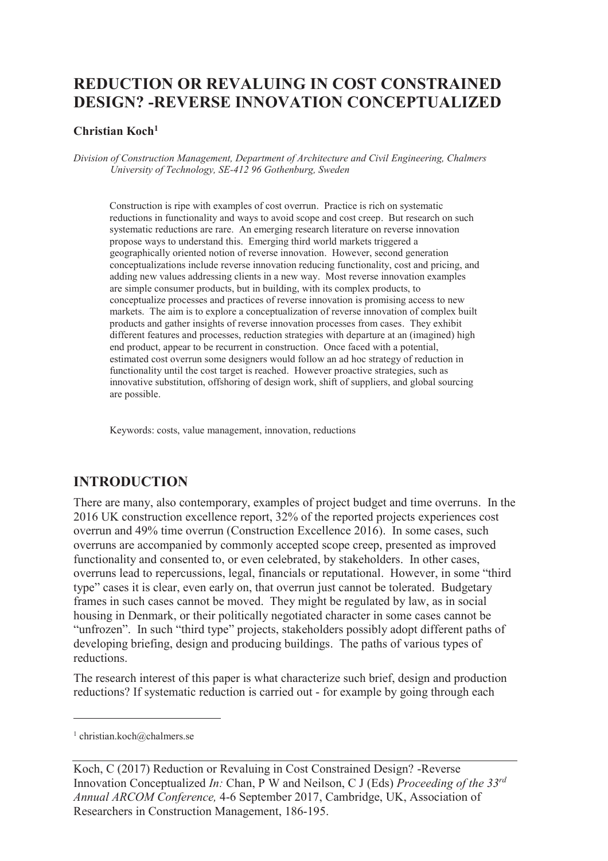# **REDUCTION OR REVALUING IN COST CONSTRAINED DESIGN? -REVERSE INNOVATION CONCEPTUALIZED**

### **Christian Koch<sup>1</sup>**

*Division of Construction Management, Department of Architecture and Civil Engineering, Chalmers University of Technology, SE-412 96 Gothenburg, Sweden* 

Construction is ripe with examples of cost overrun. Practice is rich on systematic reductions in functionality and ways to avoid scope and cost creep. But research on such systematic reductions are rare. An emerging research literature on reverse innovation propose ways to understand this. Emerging third world markets triggered a geographically oriented notion of reverse innovation. However, second generation conceptualizations include reverse innovation reducing functionality, cost and pricing, and adding new values addressing clients in a new way. Most reverse innovation examples are simple consumer products, but in building, with its complex products, to conceptualize processes and practices of reverse innovation is promising access to new markets. The aim is to explore a conceptualization of reverse innovation of complex built products and gather insights of reverse innovation processes from cases. They exhibit different features and processes, reduction strategies with departure at an (imagined) high end product, appear to be recurrent in construction. Once faced with a potential, estimated cost overrun some designers would follow an ad hoc strategy of reduction in functionality until the cost target is reached. However proactive strategies, such as innovative substitution, offshoring of design work, shift of suppliers, and global sourcing are possible.

Keywords: costs, value management, innovation, reductions

## **INTRODUCTION**

There are many, also contemporary, examples of project budget and time overruns. In the 2016 UK construction excellence report, 32% of the reported projects experiences cost overrun and 49% time overrun (Construction Excellence 2016). In some cases, such overruns are accompanied by commonly accepted scope creep, presented as improved functionality and consented to, or even celebrated, by stakeholders. In other cases, overruns lead to repercussions, legal, financials or reputational. However, in some "third type" cases it is clear, even early on, that overrun just cannot be tolerated. Budgetary frames in such cases cannot be moved. They might be regulated by law, as in social housing in Denmark, or their politically negotiated character in some cases cannot be "unfrozen". In such "third type" projects, stakeholders possibly adopt different paths of developing briefing, design and producing buildings. The paths of various types of reductions.

The research interest of this paper is what characterize such brief, design and production reductions? If systematic reduction is carried out - for example by going through each

-

<sup>1</sup> christian.koch@chalmers.se

Koch, C (2017) Reduction or Revaluing in Cost Constrained Design? -Reverse Innovation Conceptualized *In:* Chan, P W and Neilson, C J (Eds) *Proceeding of the 33rd Annual ARCOM Conference,* 4-6 September 2017, Cambridge, UK, Association of Researchers in Construction Management, 186-195.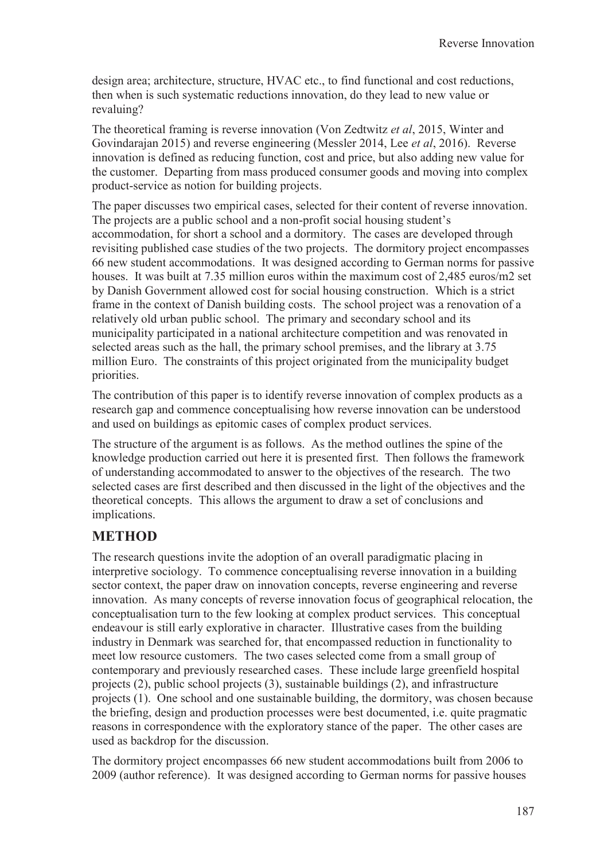design area; architecture, structure, HVAC etc., to find functional and cost reductions, then when is such systematic reductions innovation, do they lead to new value or revaluing?

The theoretical framing is reverse innovation (Von Zedtwitz *et al*, 2015, Winter and Govindarajan 2015) and reverse engineering (Messler 2014, Lee *et al*, 2016). Reverse innovation is defined as reducing function, cost and price, but also adding new value for the customer. Departing from mass produced consumer goods and moving into complex product-service as notion for building projects.

The paper discusses two empirical cases, selected for their content of reverse innovation. The projects are a public school and a non-profit social housing student's accommodation, for short a school and a dormitory. The cases are developed through revisiting published case studies of the two projects. The dormitory project encompasses 66 new student accommodations. It was designed according to German norms for passive houses. It was built at 7.35 million euros within the maximum cost of 2,485 euros/m2 set by Danish Government allowed cost for social housing construction. Which is a strict frame in the context of Danish building costs. The school project was a renovation of a relatively old urban public school. The primary and secondary school and its municipality participated in a national architecture competition and was renovated in selected areas such as the hall, the primary school premises, and the library at 3.75 million Euro. The constraints of this project originated from the municipality budget priorities.

The contribution of this paper is to identify reverse innovation of complex products as a research gap and commence conceptualising how reverse innovation can be understood and used on buildings as epitomic cases of complex product services.

The structure of the argument is as follows. As the method outlines the spine of the knowledge production carried out here it is presented first. Then follows the framework of understanding accommodated to answer to the objectives of the research. The two selected cases are first described and then discussed in the light of the objectives and the theoretical concepts. This allows the argument to draw a set of conclusions and implications.

## **METHOD**

The research questions invite the adoption of an overall paradigmatic placing in interpretive sociology. To commence conceptualising reverse innovation in a building sector context, the paper draw on innovation concepts, reverse engineering and reverse innovation. As many concepts of reverse innovation focus of geographical relocation, the conceptualisation turn to the few looking at complex product services. This conceptual endeavour is still early explorative in character. Illustrative cases from the building industry in Denmark was searched for, that encompassed reduction in functionality to meet low resource customers. The two cases selected come from a small group of contemporary and previously researched cases. These include large greenfield hospital projects (2), public school projects (3), sustainable buildings (2), and infrastructure projects (1). One school and one sustainable building, the dormitory, was chosen because the briefing, design and production processes were best documented, i.e. quite pragmatic reasons in correspondence with the exploratory stance of the paper. The other cases are used as backdrop for the discussion.

The dormitory project encompasses 66 new student accommodations built from 2006 to 2009 (author reference). It was designed according to German norms for passive houses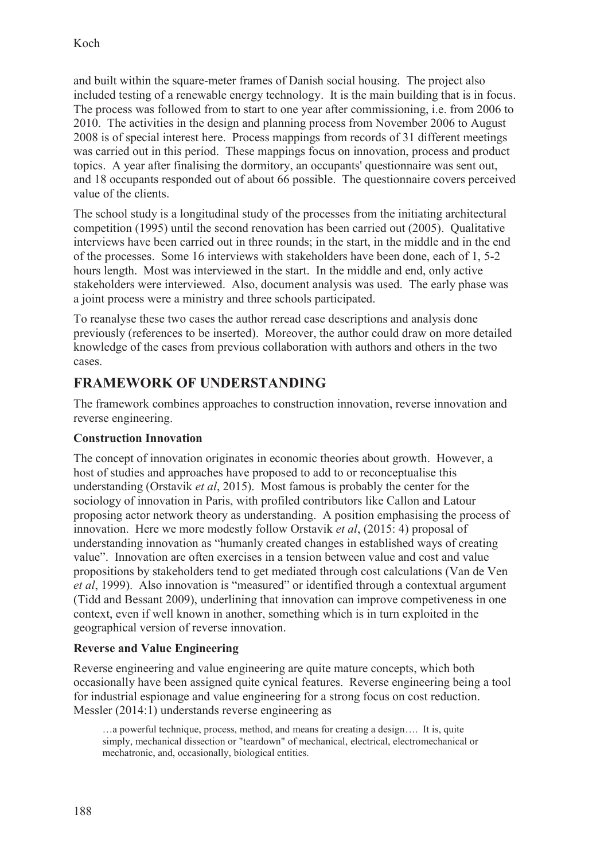and built within the square-meter frames of Danish social housing. The project also included testing of a renewable energy technology. It is the main building that is in focus. The process was followed from to start to one year after commissioning, i.e. from 2006 to 2010. The activities in the design and planning process from November 2006 to August 2008 is of special interest here. Process mappings from records of 31 different meetings was carried out in this period. These mappings focus on innovation, process and product topics. A year after finalising the dormitory, an occupants' questionnaire was sent out, and 18 occupants responded out of about 66 possible. The questionnaire covers perceived value of the clients.

The school study is a longitudinal study of the processes from the initiating architectural competition (1995) until the second renovation has been carried out (2005). Qualitative interviews have been carried out in three rounds; in the start, in the middle and in the end of the processes. Some 16 interviews with stakeholders have been done, each of 1, 5-2 hours length. Most was interviewed in the start. In the middle and end, only active stakeholders were interviewed. Also, document analysis was used. The early phase was a joint process were a ministry and three schools participated.

To reanalyse these two cases the author reread case descriptions and analysis done previously (references to be inserted). Moreover, the author could draw on more detailed knowledge of the cases from previous collaboration with authors and others in the two cases.

## **FRAMEWORK OF UNDERSTANDING**

The framework combines approaches to construction innovation, reverse innovation and reverse engineering.

## **Construction Innovation**

The concept of innovation originates in economic theories about growth. However, a host of studies and approaches have proposed to add to or reconceptualise this understanding (Orstavik *et al*, 2015). Most famous is probably the center for the sociology of innovation in Paris, with profiled contributors like Callon and Latour proposing actor network theory as understanding. A position emphasising the process of innovation. Here we more modestly follow Orstavik *et al*, (2015: 4) proposal of understanding innovation as "humanly created changes in established ways of creating value". Innovation are often exercises in a tension between value and cost and value propositions by stakeholders tend to get mediated through cost calculations (Van de Ven *et al*, 1999). Also innovation is "measured" or identified through a contextual argument (Tidd and Bessant 2009), underlining that innovation can improve competiveness in one context, even if well known in another, something which is in turn exploited in the geographical version of reverse innovation.

## **Reverse and Value Engineering**

Reverse engineering and value engineering are quite mature concepts, which both occasionally have been assigned quite cynical features. Reverse engineering being a tool for industrial espionage and value engineering for a strong focus on cost reduction. Messler (2014:1) understands reverse engineering as

…a powerful technique, process, method, and means for creating a design…. It is, quite simply, mechanical dissection or "teardown" of mechanical, electrical, electromechanical or mechatronic, and, occasionally, biological entities.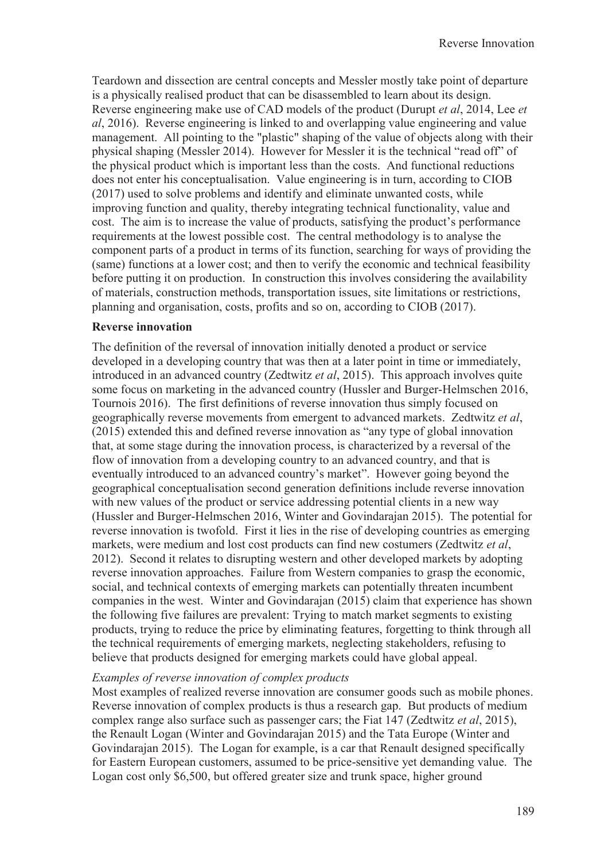Teardown and dissection are central concepts and Messler mostly take point of departure is a physically realised product that can be disassembled to learn about its design. Reverse engineering make use of CAD models of the product (Durupt *et al*, 2014, Lee *et al*, 2016). Reverse engineering is linked to and overlapping value engineering and value management. All pointing to the "plastic" shaping of the value of objects along with their physical shaping (Messler 2014). However for Messler it is the technical "read off" of the physical product which is important less than the costs. And functional reductions does not enter his conceptualisation. Value engineering is in turn, according to CIOB (2017) used to solve problems and identify and eliminate unwanted costs, while improving function and quality, thereby integrating technical functionality, value and cost. The aim is to increase the value of products, satisfying the product's performance requirements at the lowest possible cost. The central methodology is to analyse the component parts of a product in terms of its function, searching for ways of providing the (same) functions at a lower cost; and then to verify the economic and technical feasibility before putting it on production. In construction this involves considering the availability of materials, construction methods, transportation issues, site limitations or restrictions, planning and organisation, costs, profits and so on, according to CIOB (2017).

### **Reverse innovation**

The definition of the reversal of innovation initially denoted a product or service developed in a developing country that was then at a later point in time or immediately, introduced in an advanced country (Zedtwitz *et al*, 2015). This approach involves quite some focus on marketing in the advanced country (Hussler and Burger-Helmschen 2016, Tournois 2016). The first definitions of reverse innovation thus simply focused on geographically reverse movements from emergent to advanced markets. Zedtwitz *et al*, (2015) extended this and defined reverse innovation as "any type of global innovation that, at some stage during the innovation process, is characterized by a reversal of the flow of innovation from a developing country to an advanced country, and that is eventually introduced to an advanced country's market". However going beyond the geographical conceptualisation second generation definitions include reverse innovation with new values of the product or service addressing potential clients in a new way (Hussler and Burger-Helmschen 2016, Winter and Govindarajan 2015). The potential for reverse innovation is twofold. First it lies in the rise of developing countries as emerging markets, were medium and lost cost products can find new costumers (Zedtwitz *et al*, 2012). Second it relates to disrupting western and other developed markets by adopting reverse innovation approaches. Failure from Western companies to grasp the economic, social, and technical contexts of emerging markets can potentially threaten incumbent companies in the west. Winter and Govindarajan (2015) claim that experience has shown the following five failures are prevalent: Trying to match market segments to existing products, trying to reduce the price by eliminating features, forgetting to think through all the technical requirements of emerging markets, neglecting stakeholders, refusing to believe that products designed for emerging markets could have global appeal.

### *Examples of reverse innovation of complex products*

Most examples of realized reverse innovation are consumer goods such as mobile phones. Reverse innovation of complex products is thus a research gap. But products of medium complex range also surface such as passenger cars; the Fiat 147 (Zedtwitz *et al*, 2015), the Renault Logan (Winter and Govindarajan 2015) and the Tata Europe (Winter and Govindarajan 2015). The Logan for example, is a car that Renault designed specifically for Eastern European customers, assumed to be price-sensitive yet demanding value. The Logan cost only \$6,500, but offered greater size and trunk space, higher ground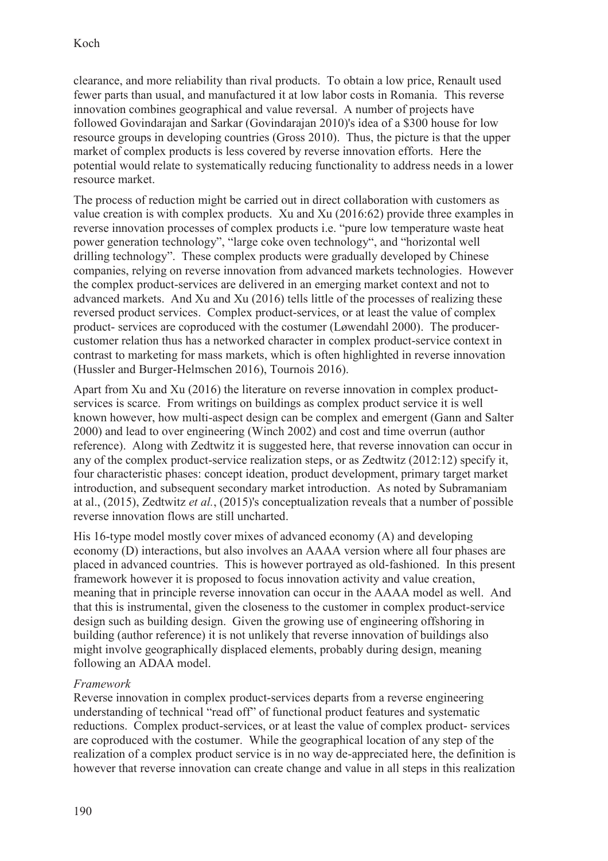clearance, and more reliability than rival products. To obtain a low price, Renault used fewer parts than usual, and manufactured it at low labor costs in Romania. This reverse innovation combines geographical and value reversal. A number of projects have followed Govindarajan and Sarkar (Govindarajan 2010)'s idea of a \$300 house for low resource groups in developing countries (Gross 2010). Thus, the picture is that the upper market of complex products is less covered by reverse innovation efforts. Here the potential would relate to systematically reducing functionality to address needs in a lower resource market.

The process of reduction might be carried out in direct collaboration with customers as value creation is with complex products. Xu and Xu (2016:62) provide three examples in reverse innovation processes of complex products i.e. "pure low temperature waste heat power generation technology", "large coke oven technology", and "horizontal well drilling technology". These complex products were gradually developed by Chinese companies, relying on reverse innovation from advanced markets technologies. However the complex product-services are delivered in an emerging market context and not to advanced markets. And Xu and Xu (2016) tells little of the processes of realizing these reversed product services. Complex product-services, or at least the value of complex product- services are coproduced with the costumer (Løwendahl 2000). The producercustomer relation thus has a networked character in complex product-service context in contrast to marketing for mass markets, which is often highlighted in reverse innovation (Hussler and Burger-Helmschen 2016), Tournois 2016).

Apart from Xu and Xu (2016) the literature on reverse innovation in complex productservices is scarce. From writings on buildings as complex product service it is well known however, how multi-aspect design can be complex and emergent (Gann and Salter 2000) and lead to over engineering (Winch 2002) and cost and time overrun (author reference). Along with Zedtwitz it is suggested here, that reverse innovation can occur in any of the complex product-service realization steps, or as Zedtwitz (2012:12) specify it, four characteristic phases: concept ideation, product development, primary target market introduction, and subsequent secondary market introduction. As noted by Subramaniam at al., (2015), Zedtwitz *et al.*, (2015)'s conceptualization reveals that a number of possible reverse innovation flows are still uncharted.

His 16-type model mostly cover mixes of advanced economy (A) and developing economy (D) interactions, but also involves an AAAA version where all four phases are placed in advanced countries. This is however portrayed as old-fashioned. In this present framework however it is proposed to focus innovation activity and value creation, meaning that in principle reverse innovation can occur in the AAAA model as well. And that this is instrumental, given the closeness to the customer in complex product-service design such as building design. Given the growing use of engineering offshoring in building (author reference) it is not unlikely that reverse innovation of buildings also might involve geographically displaced elements, probably during design, meaning following an ADAA model.

### *Framework*

Reverse innovation in complex product-services departs from a reverse engineering understanding of technical "read off" of functional product features and systematic reductions. Complex product-services, or at least the value of complex product- services are coproduced with the costumer. While the geographical location of any step of the realization of a complex product service is in no way de-appreciated here, the definition is however that reverse innovation can create change and value in all steps in this realization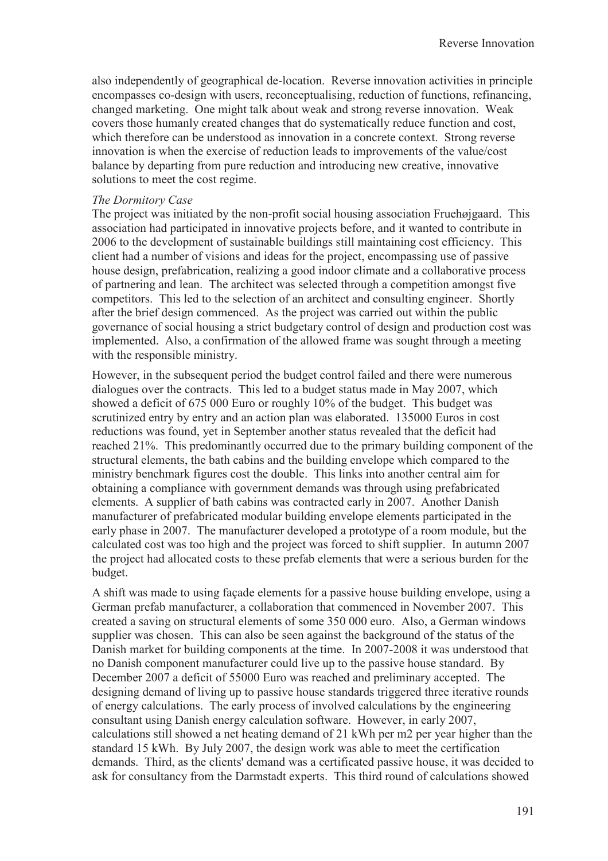also independently of geographical de-location. Reverse innovation activities in principle encompasses co-design with users, reconceptualising, reduction of functions, refinancing, changed marketing. One might talk about weak and strong reverse innovation. Weak covers those humanly created changes that do systematically reduce function and cost, which therefore can be understood as innovation in a concrete context. Strong reverse innovation is when the exercise of reduction leads to improvements of the value/cost balance by departing from pure reduction and introducing new creative, innovative solutions to meet the cost regime.

#### *The Dormitory Case*

The project was initiated by the non-profit social housing association Fruehøjgaard. This association had participated in innovative projects before, and it wanted to contribute in 2006 to the development of sustainable buildings still maintaining cost efficiency. This client had a number of visions and ideas for the project, encompassing use of passive house design, prefabrication, realizing a good indoor climate and a collaborative process of partnering and lean. The architect was selected through a competition amongst five competitors. This led to the selection of an architect and consulting engineer. Shortly after the brief design commenced. As the project was carried out within the public governance of social housing a strict budgetary control of design and production cost was implemented. Also, a confirmation of the allowed frame was sought through a meeting with the responsible ministry.

However, in the subsequent period the budget control failed and there were numerous dialogues over the contracts. This led to a budget status made in May 2007, which showed a deficit of 675 000 Euro or roughly 10% of the budget. This budget was scrutinized entry by entry and an action plan was elaborated. 135000 Euros in cost reductions was found, yet in September another status revealed that the deficit had reached 21%. This predominantly occurred due to the primary building component of the structural elements, the bath cabins and the building envelope which compared to the ministry benchmark figures cost the double. This links into another central aim for obtaining a compliance with government demands was through using prefabricated elements. A supplier of bath cabins was contracted early in 2007. Another Danish manufacturer of prefabricated modular building envelope elements participated in the early phase in 2007. The manufacturer developed a prototype of a room module, but the calculated cost was too high and the project was forced to shift supplier. In autumn 2007 the project had allocated costs to these prefab elements that were a serious burden for the budget.

A shift was made to using façade elements for a passive house building envelope, using a German prefab manufacturer, a collaboration that commenced in November 2007. This created a saving on structural elements of some 350 000 euro. Also, a German windows supplier was chosen. This can also be seen against the background of the status of the Danish market for building components at the time. In 2007-2008 it was understood that no Danish component manufacturer could live up to the passive house standard. By December 2007 a deficit of 55000 Euro was reached and preliminary accepted. The designing demand of living up to passive house standards triggered three iterative rounds of energy calculations. The early process of involved calculations by the engineering consultant using Danish energy calculation software. However, in early 2007, calculations still showed a net heating demand of 21 kWh per m2 per year higher than the standard 15 kWh. By July 2007, the design work was able to meet the certification demands. Third, as the clients' demand was a certificated passive house, it was decided to ask for consultancy from the Darmstadt experts. This third round of calculations showed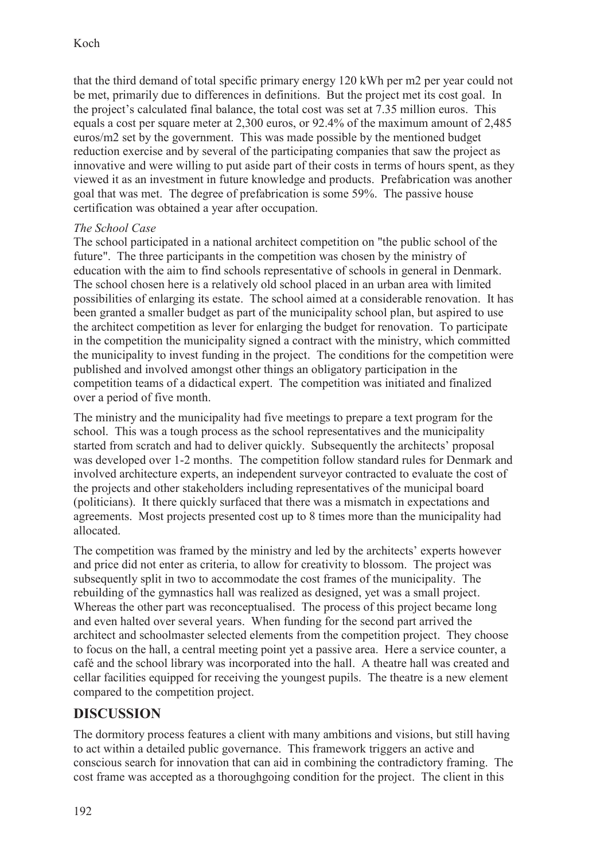that the third demand of total specific primary energy 120 kWh per m2 per year could not be met, primarily due to differences in definitions. But the project met its cost goal. In the project's calculated final balance, the total cost was set at 7.35 million euros. This equals a cost per square meter at 2,300 euros, or 92.4% of the maximum amount of 2,485 euros/m2 set by the government. This was made possible by the mentioned budget reduction exercise and by several of the participating companies that saw the project as innovative and were willing to put aside part of their costs in terms of hours spent, as they viewed it as an investment in future knowledge and products. Prefabrication was another goal that was met. The degree of prefabrication is some 59%. The passive house certification was obtained a year after occupation.

### *The School Case*

The school participated in a national architect competition on "the public school of the future". The three participants in the competition was chosen by the ministry of education with the aim to find schools representative of schools in general in Denmark. The school chosen here is a relatively old school placed in an urban area with limited possibilities of enlarging its estate. The school aimed at a considerable renovation. It has been granted a smaller budget as part of the municipality school plan, but aspired to use the architect competition as lever for enlarging the budget for renovation. To participate in the competition the municipality signed a contract with the ministry, which committed the municipality to invest funding in the project. The conditions for the competition were published and involved amongst other things an obligatory participation in the competition teams of a didactical expert. The competition was initiated and finalized over a period of five month.

The ministry and the municipality had five meetings to prepare a text program for the school. This was a tough process as the school representatives and the municipality started from scratch and had to deliver quickly. Subsequently the architects' proposal was developed over 1-2 months. The competition follow standard rules for Denmark and involved architecture experts, an independent surveyor contracted to evaluate the cost of the projects and other stakeholders including representatives of the municipal board (politicians). It there quickly surfaced that there was a mismatch in expectations and agreements. Most projects presented cost up to 8 times more than the municipality had allocated.

The competition was framed by the ministry and led by the architects' experts however and price did not enter as criteria, to allow for creativity to blossom. The project was subsequently split in two to accommodate the cost frames of the municipality. The rebuilding of the gymnastics hall was realized as designed, yet was a small project. Whereas the other part was reconceptualised. The process of this project became long and even halted over several years. When funding for the second part arrived the architect and schoolmaster selected elements from the competition project. They choose to focus on the hall, a central meeting point yet a passive area. Here a service counter, a café and the school library was incorporated into the hall. A theatre hall was created and cellar facilities equipped for receiving the youngest pupils. The theatre is a new element compared to the competition project.

## **DISCUSSION**

The dormitory process features a client with many ambitions and visions, but still having to act within a detailed public governance. This framework triggers an active and conscious search for innovation that can aid in combining the contradictory framing. The cost frame was accepted as a thoroughgoing condition for the project. The client in this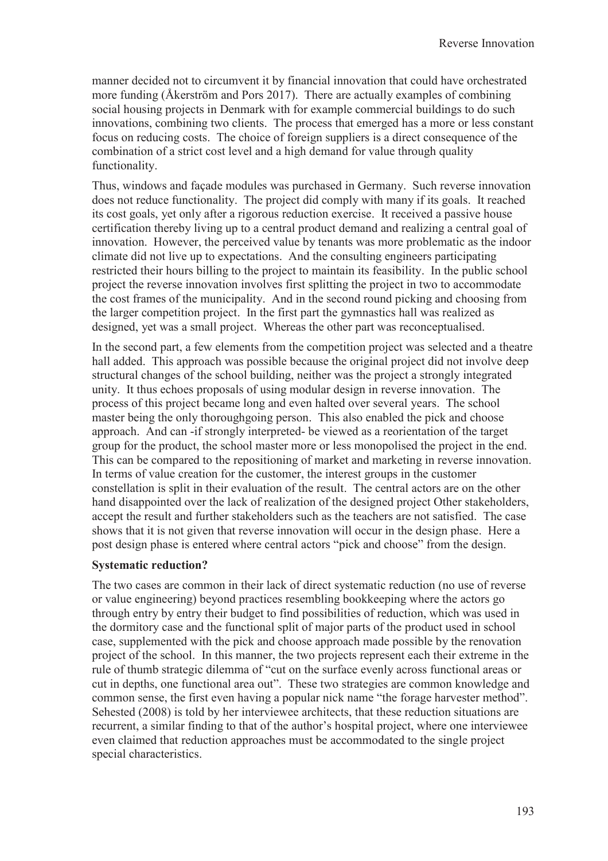manner decided not to circumvent it by financial innovation that could have orchestrated more funding (Åkerström and Pors 2017). There are actually examples of combining social housing projects in Denmark with for example commercial buildings to do such innovations, combining two clients. The process that emerged has a more or less constant focus on reducing costs. The choice of foreign suppliers is a direct consequence of the combination of a strict cost level and a high demand for value through quality functionality.

Thus, windows and façade modules was purchased in Germany. Such reverse innovation does not reduce functionality. The project did comply with many if its goals. It reached its cost goals, yet only after a rigorous reduction exercise. It received a passive house certification thereby living up to a central product demand and realizing a central goal of innovation. However, the perceived value by tenants was more problematic as the indoor climate did not live up to expectations. And the consulting engineers participating restricted their hours billing to the project to maintain its feasibility. In the public school project the reverse innovation involves first splitting the project in two to accommodate the cost frames of the municipality. And in the second round picking and choosing from the larger competition project. In the first part the gymnastics hall was realized as designed, yet was a small project. Whereas the other part was reconceptualised.

In the second part, a few elements from the competition project was selected and a theatre hall added. This approach was possible because the original project did not involve deep structural changes of the school building, neither was the project a strongly integrated unity. It thus echoes proposals of using modular design in reverse innovation. The process of this project became long and even halted over several years. The school master being the only thoroughgoing person. This also enabled the pick and choose approach. And can -if strongly interpreted- be viewed as a reorientation of the target group for the product, the school master more or less monopolised the project in the end. This can be compared to the repositioning of market and marketing in reverse innovation. In terms of value creation for the customer, the interest groups in the customer constellation is split in their evaluation of the result. The central actors are on the other hand disappointed over the lack of realization of the designed project Other stakeholders, accept the result and further stakeholders such as the teachers are not satisfied. The case shows that it is not given that reverse innovation will occur in the design phase. Here a post design phase is entered where central actors "pick and choose" from the design.

#### **Systematic reduction?**

The two cases are common in their lack of direct systematic reduction (no use of reverse or value engineering) beyond practices resembling bookkeeping where the actors go through entry by entry their budget to find possibilities of reduction, which was used in the dormitory case and the functional split of major parts of the product used in school case, supplemented with the pick and choose approach made possible by the renovation project of the school. In this manner, the two projects represent each their extreme in the rule of thumb strategic dilemma of "cut on the surface evenly across functional areas or cut in depths, one functional area out". These two strategies are common knowledge and common sense, the first even having a popular nick name "the forage harvester method". Sehested (2008) is told by her interviewee architects, that these reduction situations are recurrent, a similar finding to that of the author's hospital project, where one interviewee even claimed that reduction approaches must be accommodated to the single project special characteristics.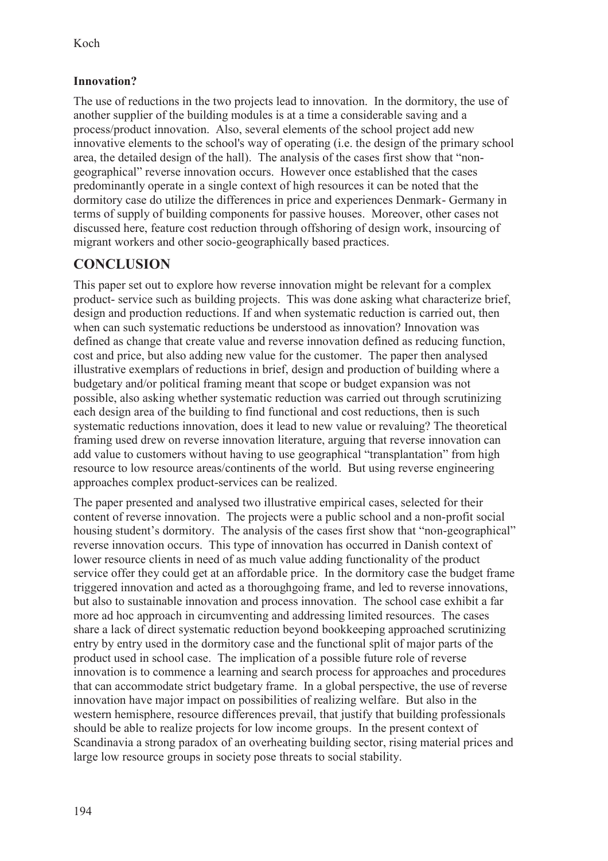## **Innovation?**

The use of reductions in the two projects lead to innovation. In the dormitory, the use of another supplier of the building modules is at a time a considerable saving and a process/product innovation. Also, several elements of the school project add new innovative elements to the school's way of operating (i.e. the design of the primary school area, the detailed design of the hall). The analysis of the cases first show that "nongeographical" reverse innovation occurs. However once established that the cases predominantly operate in a single context of high resources it can be noted that the dormitory case do utilize the differences in price and experiences Denmark- Germany in terms of supply of building components for passive houses. Moreover, other cases not discussed here, feature cost reduction through offshoring of design work, insourcing of migrant workers and other socio-geographically based practices.

# **CONCLUSION**

This paper set out to explore how reverse innovation might be relevant for a complex product- service such as building projects. This was done asking what characterize brief, design and production reductions. If and when systematic reduction is carried out, then when can such systematic reductions be understood as innovation? Innovation was defined as change that create value and reverse innovation defined as reducing function, cost and price, but also adding new value for the customer. The paper then analysed illustrative exemplars of reductions in brief, design and production of building where a budgetary and/or political framing meant that scope or budget expansion was not possible, also asking whether systematic reduction was carried out through scrutinizing each design area of the building to find functional and cost reductions, then is such systematic reductions innovation, does it lead to new value or revaluing? The theoretical framing used drew on reverse innovation literature, arguing that reverse innovation can add value to customers without having to use geographical "transplantation" from high resource to low resource areas/continents of the world. But using reverse engineering approaches complex product-services can be realized.

The paper presented and analysed two illustrative empirical cases, selected for their content of reverse innovation. The projects were a public school and a non-profit social housing student's dormitory. The analysis of the cases first show that "non-geographical" reverse innovation occurs. This type of innovation has occurred in Danish context of lower resource clients in need of as much value adding functionality of the product service offer they could get at an affordable price. In the dormitory case the budget frame triggered innovation and acted as a thoroughgoing frame, and led to reverse innovations, but also to sustainable innovation and process innovation. The school case exhibit a far more ad hoc approach in circumventing and addressing limited resources. The cases share a lack of direct systematic reduction beyond bookkeeping approached scrutinizing entry by entry used in the dormitory case and the functional split of major parts of the product used in school case. The implication of a possible future role of reverse innovation is to commence a learning and search process for approaches and procedures that can accommodate strict budgetary frame. In a global perspective, the use of reverse innovation have major impact on possibilities of realizing welfare. But also in the western hemisphere, resource differences prevail, that justify that building professionals should be able to realize projects for low income groups. In the present context of Scandinavia a strong paradox of an overheating building sector, rising material prices and large low resource groups in society pose threats to social stability.